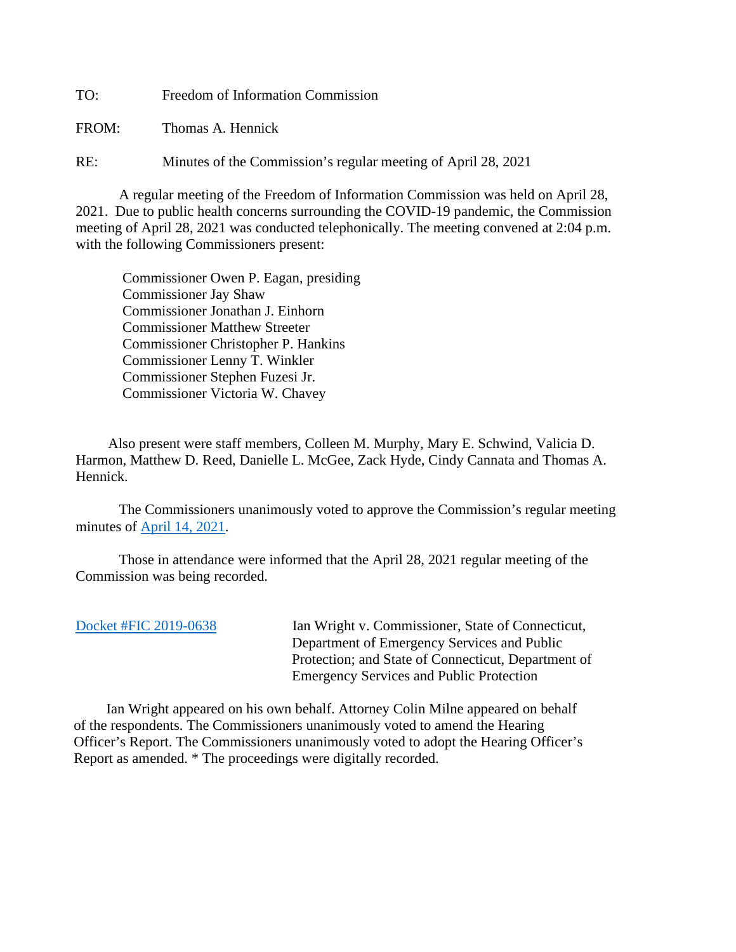TO: Freedom of Information Commission

FROM: Thomas A. Hennick

RE: Minutes of the Commission's regular meeting of April 28, 2021

A regular meeting of the Freedom of Information Commission was held on April 28, 2021. Due to public health concerns surrounding the COVID-19 pandemic, the Commission meeting of April 28, 2021 was conducted telephonically. The meeting convened at 2:04 p.m. with the following Commissioners present:

 Commissioner Owen P. Eagan, presiding Commissioner Jay Shaw Commissioner Jonathan J. Einhorn Commissioner Matthew Streeter Commissioner Christopher P. Hankins Commissioner Lenny T. Winkler Commissioner Stephen Fuzesi Jr. Commissioner Victoria W. Chavey

 Also present were staff members, Colleen M. Murphy, Mary E. Schwind, Valicia D. Harmon, Matthew D. Reed, Danielle L. McGee, Zack Hyde, Cindy Cannata and Thomas A. Hennick.

The Commissioners unanimously voted to approve the Commission's regular meeting minutes of [April 14, 2021.](https://portal.ct.gov/-/media/FOI/Minutes/2021/Minutes-4-14-21b.pdf)

 Those in attendance were informed that the April 28, 2021 regular meeting of the Commission was being recorded.

[Docket #FIC 2019-0638](https://portal.ct.gov/-/media/FOI/FinalDecisions/2021/Apr28/2019-0638.pdf) Ian Wright v. Commissioner, State of Connecticut, Department of Emergency Services and Public Protection; and State of Connecticut, Department of Emergency Services and Public Protection

 Ian Wright appeared on his own behalf. Attorney Colin Milne appeared on behalf of the respondents. The Commissioners unanimously voted to amend the Hearing Officer's Report. The Commissioners unanimously voted to adopt the Hearing Officer's Report as amended. \* The proceedings were digitally recorded.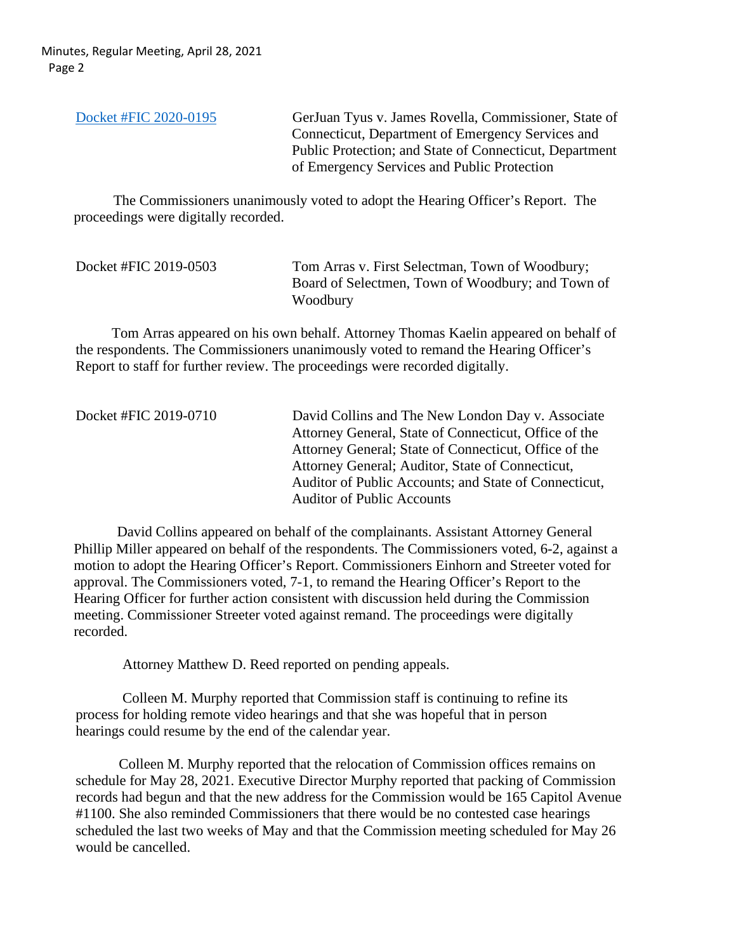Minutes, Regular Meeting, April 28, 2021 Page 2

| Docket #FIC 2020-0195 | GerJuan Tyus v. James Rovella, Commissioner, State of   |
|-----------------------|---------------------------------------------------------|
|                       | Connecticut, Department of Emergency Services and       |
|                       | Public Protection; and State of Connecticut, Department |
|                       | of Emergency Services and Public Protection             |

 The Commissioners unanimously voted to adopt the Hearing Officer's Report. The proceedings were digitally recorded.

| Docket #FIC 2019-0503 | Tom Arras v. First Selectman, Town of Woodbury;   |
|-----------------------|---------------------------------------------------|
|                       | Board of Selectmen, Town of Woodbury; and Town of |
|                       | Woodbury                                          |

 Tom Arras appeared on his own behalf. Attorney Thomas Kaelin appeared on behalf of the respondents. The Commissioners unanimously voted to remand the Hearing Officer's Report to staff for further review. The proceedings were recorded digitally.

Docket #FIC 2019-0710 David Collins and The New London Day v. Associate Attorney General, State of Connecticut, Office of the Attorney General; State of Connecticut, Office of the Attorney General; Auditor, State of Connecticut, Auditor of Public Accounts; and State of Connecticut, Auditor of Public Accounts

 David Collins appeared on behalf of the complainants. Assistant Attorney General Phillip Miller appeared on behalf of the respondents. The Commissioners voted, 6-2, against a motion to adopt the Hearing Officer's Report. Commissioners Einhorn and Streeter voted for approval. The Commissioners voted, 7-1, to remand the Hearing Officer's Report to the Hearing Officer for further action consistent with discussion held during the Commission meeting. Commissioner Streeter voted against remand. The proceedings were digitally recorded.

Attorney Matthew D. Reed reported on pending appeals.

 Colleen M. Murphy reported that Commission staff is continuing to refine its process for holding remote video hearings and that she was hopeful that in person hearings could resume by the end of the calendar year.

Colleen M. Murphy reported that the relocation of Commission offices remains on schedule for May 28, 2021. Executive Director Murphy reported that packing of Commission records had begun and that the new address for the Commission would be 165 Capitol Avenue #1100. She also reminded Commissioners that there would be no contested case hearings scheduled the last two weeks of May and that the Commission meeting scheduled for May 26 would be cancelled.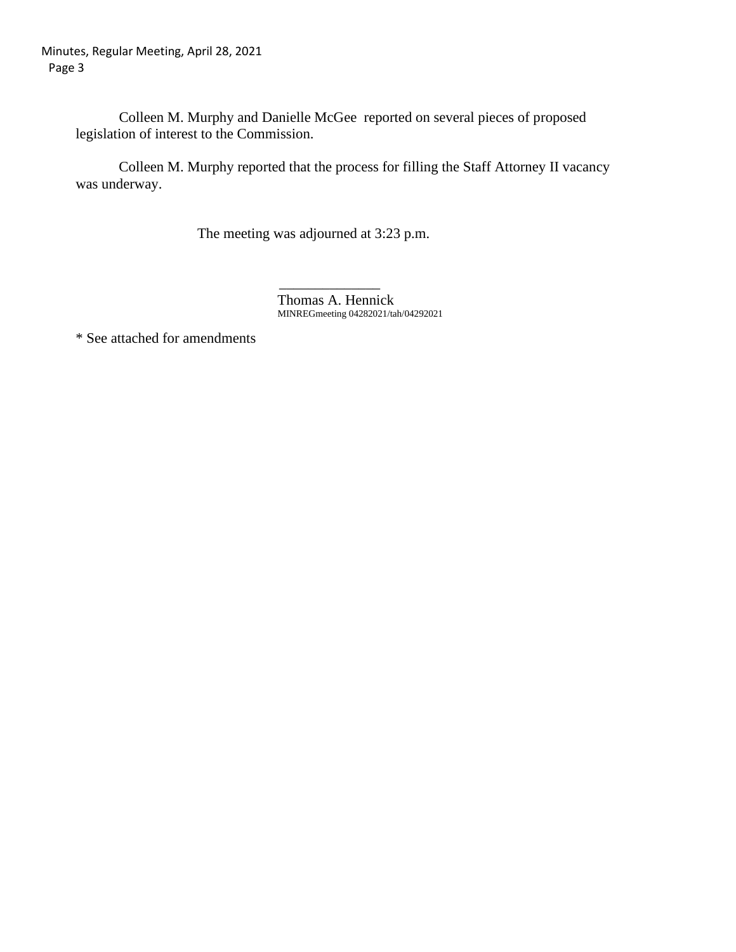Colleen M. Murphy and Danielle McGee reported on several pieces of proposed legislation of interest to the Commission.

Colleen M. Murphy reported that the process for filling the Staff Attorney II vacancy was underway.

The meeting was adjourned at 3:23 p.m.

 $\mathcal{L}_\text{max}$  , which is a set of the set of the set of the set of the set of the set of the set of the set of the set of the set of the set of the set of the set of the set of the set of the set of the set of the set of Thomas A. Hennick MINREGmeeting 04282021/tah/04292021

\* See attached for amendments